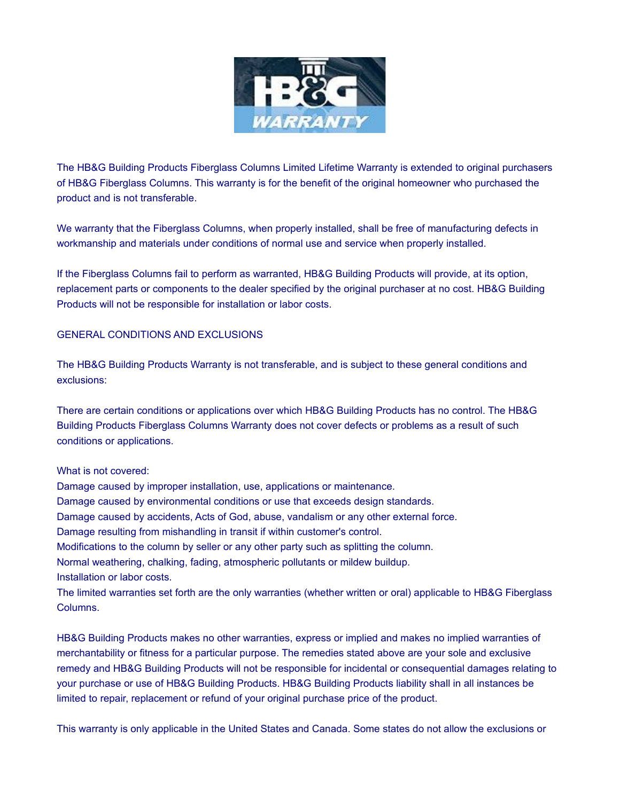

The HB&G Building Products Fiberglass Columns Limited Lifetime Warranty is extended to original purchasers of HB&G Fiberglass Columns. This warranty is for the benefit of the original homeowner who purchased the product and is not transferable.

We warranty that the Fiberglass Columns, when properly installed, shall be free of manufacturing defects in workmanship and materials under conditions of normal use and service when properly installed.

If the Fiberglass Columns fail to perform as warranted, HB&G Building Products will provide, at its option, replacement parts or components to the dealer specified by the original purchaser at no cost. HB&G Building Products will not be responsible for installation or labor costs.

## GENERAL CONDITIONS AND EXCLUSIONS

The HB&G Building Products Warranty is not transferable, and is subject to these general conditions and exclusions:

There are certain conditions or applications over which HB&G Building Products has no control. The HB&G Building Products Fiberglass Columns Warranty does not cover defects or problems as a result of such conditions or applications.

## What is not covered:

Damage caused by improper installation, use, applications or maintenance. Damage caused by environmental conditions or use that exceeds design standards. Damage caused by accidents, Acts of God, abuse, vandalism or any other external force. Damage resulting from mishandling in transit if within customer's control. Modifications to the column by seller or any other party such as splitting the column. Normal weathering, chalking, fading, atmospheric pollutants or mildew buildup. Installation or labor costs.

The limited warranties set forth are the only warranties (whether written or oral) applicable to HB&G Fiberglass Columns.

HB&G Building Products makes no other warranties, express or implied and makes no implied warranties of merchantability or fitness for a particular purpose. The remedies stated above are your sole and exclusive remedy and HB&G Building Products will not be responsible for incidental or consequential damages relating to your purchase or use of HB&G Building Products. HB&G Building Products liability shall in all instances be limited to repair, replacement or refund of your original purchase price of the product.

This warranty is only applicable in the United States and Canada. Some states do not allow the exclusions or